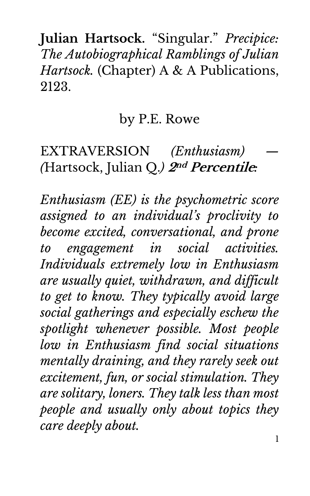**Julian Hartsock.** "Singular." *Precipice: The Autobiographical Ramblings of Julian Hartsock.* (Chapter) A & A Publications, 2123.

## by P.E. Rowe

## EXTRAVERSION *(Enthusiasm) — (*Hartsock, Julian Q.*)* **2nd Percentile***:*

*Enthusiasm (EE) is the psychometric score assigned to an individual's proclivity to become excited, conversational, and prone to engagement in social activities. Individuals extremely low in Enthusiasm are usually quiet, withdrawn, and difficult to get to know. They typically avoid large social gatherings and especially eschew the spotlight whenever possible. Most people low in Enthusiasm find social situations mentally draining, and they rarely seek out excitement, fun, or social stimulation. They are solitary, loners. They talk less than most people and usually only about topics they care deeply about.*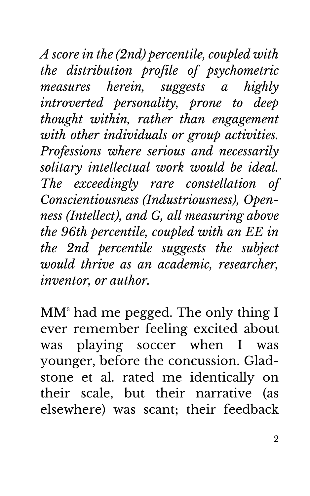*A score in the (2nd) percentile, coupled with the distribution profile of psychometric measures herein, suggests a highly introverted personality, prone to deep thought within, rather than engagement with other individuals or group activities. Professions where serious and necessarily solitary intellectual work would be ideal. The exceedingly rare constellation of Conscientiousness (Industriousness), Openness (Intellect), and G, all measuring above the 96th percentile, coupled with an EE in the 2nd percentile suggests the subject would thrive as an academic, researcher, inventor, or author.*

 $MM^3$  had me pegged. The only thing I ever remember feeling excited about was playing soccer when I was younger, before the concussion. Gladstone et al. rated me identically on their scale, but their narrative (as elsewhere) was scant; their feedback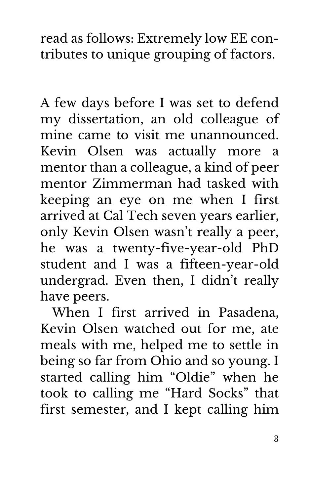read as follows: Extremely low EE contributes to unique grouping of factors.

A few days before I was set to defend my dissertation, an old colleague of mine came to visit me unannounced. Kevin Olsen was actually more a mentor than a colleague, a kind of peer mentor Zimmerman had tasked with keeping an eye on me when I first arrived at Cal Tech seven years earlier, only Kevin Olsen wasn't really a peer, he was a twenty-five-year-old PhD student and I was a fifteen-year-old undergrad. Even then, I didn't really have peers.

When I first arrived in Pasadena, Kevin Olsen watched out for me, ate meals with me, helped me to settle in being so far from Ohio and so young. I started calling him "Oldie" when he took to calling me "Hard Socks" that first semester, and I kept calling him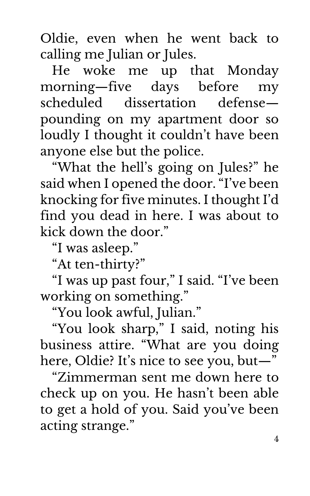Oldie, even when he went back to calling me Julian or Jules.

He woke me up that Monday morning—five days before my scheduled dissertation defense pounding on my apartment door so loudly I thought it couldn't have been anyone else but the police.

"What the hell's going on Jules?" he said when I opened the door. "I've been knocking for five minutes. I thought I'd find you dead in here. I was about to kick down the door."

"I was asleep."

"At ten-thirty?"

"I was up past four," I said. "I've been working on something."

"You look awful, Julian."

"You look sharp," I said, noting his business attire. "What are you doing here, Oldie? It's nice to see you, but—"

"Zimmerman sent me down here to check up on you. He hasn't been able to get a hold of you. Said you've been acting strange."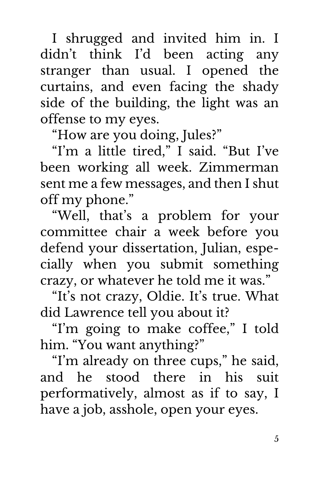I shrugged and invited him in. I didn't think I'd been acting any stranger than usual. I opened the curtains, and even facing the shady side of the building, the light was an offense to my eyes.

"How are you doing, Jules?"

"I'm a little tired," I said. "But I've been working all week. Zimmerman sent me a few messages, and then I shut off my phone."

"Well, that's a problem for your committee chair a week before you defend your dissertation, Julian, especially when you submit something crazy, or whatever he told me it was."

"It's not crazy, Oldie. It's true. What did Lawrence tell you about it?

"I'm going to make coffee," I told him. "You want anything?"

"I'm already on three cups," he said, and he stood there in his suit performatively, almost as if to say, I have a job, asshole, open your eyes.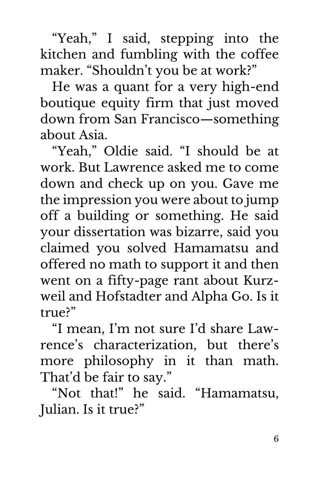"Yeah," I said, stepping into the kitchen and fumbling with the coffee maker. "Shouldn't you be at work?"

He was a quant for a very high-end boutique equity firm that just moved down from San Francisco—something about Asia.

"Yeah," Oldie said. "I should be at work. But Lawrence asked me to come down and check up on you. Gave me the impression you were about to jump off a building or something. He said your dissertation was bizarre, said you claimed you solved Hamamatsu and offered no math to support it and then went on a fifty-page rant about Kurzweil and Hofstadter and Alpha Go. Is it true?"

"I mean, I'm not sure I'd share Lawrence's characterization, but there's more philosophy in it than math. That'd be fair to say."

"Not that!" he said. "Hamamatsu, Julian. Is it true?"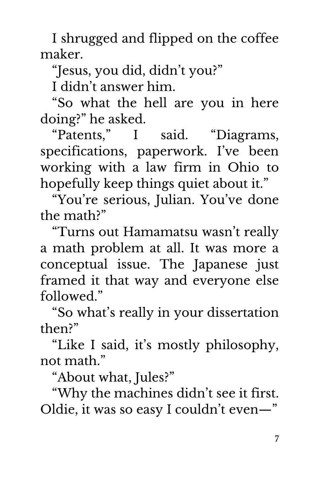I shrugged and flipped on the coffee maker.

"Jesus, you did, didn't you?"

I didn't answer him.

"So what the hell are you in here doing?" he asked.

"Patents," I said. "Diagrams, specifications, paperwork. I've been working with a law firm in Ohio to hopefully keep things quiet about it."

"You're serious, Julian. You've done the math?"

"Turns out Hamamatsu wasn't really a math problem at all. It was more a conceptual issue. The Japanese just framed it that way and everyone else followed"

"So what's really in your dissertation then?"

"Like I said, it's mostly philosophy, not math."

"About what, Jules?"

"Why the machines didn't see it first. Oldie, it was so easy I couldn't even—"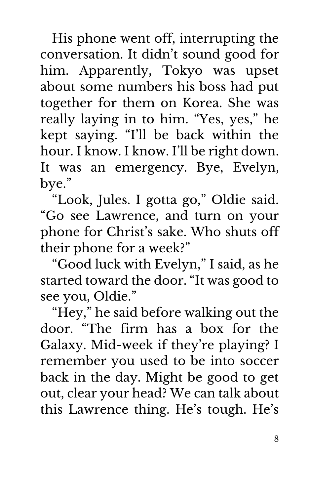His phone went off, interrupting the conversation. It didn't sound good for him. Apparently, Tokyo was upset about some numbers his boss had put together for them on Korea. She was really laying in to him. "Yes, yes," he kept saying. "I'll be back within the hour. I know. I know. I'll be right down. It was an emergency. Bye, Evelyn, bye."

"Look, Jules. I gotta go," Oldie said. "Go see Lawrence, and turn on your phone for Christ's sake. Who shuts off their phone for a week?"

"Good luck with Evelyn," I said, as he started toward the door. "It was good to see you, Oldie."

"Hey," he said before walking out the door. "The firm has a box for the Galaxy. Mid-week if they're playing? I remember you used to be into soccer back in the day. Might be good to get out, clear your head? We can talk about this Lawrence thing. He's tough. He's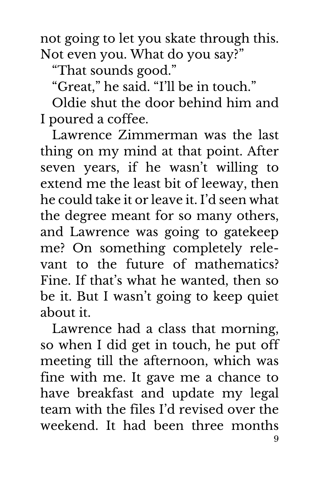not going to let you skate through this. Not even you. What do you say?"

"That sounds good."

"Great," he said. "I'll be in touch."

Oldie shut the door behind him and I poured a coffee.

Lawrence Zimmerman was the last thing on my mind at that point. After seven years, if he wasn't willing to extend me the least bit of leeway, then he could take it or leave it. I'd seen what the degree meant for so many others, and Lawrence was going to gatekeep me? On something completely relevant to the future of mathematics? Fine. If that's what he wanted, then so be it. But I wasn't going to keep quiet about it.

 $\mathbf Q$ Lawrence had a class that morning, so when I did get in touch, he put off meeting till the afternoon, which was fine with me. It gave me a chance to have breakfast and update my legal team with the files I'd revised over the weekend. It had been three months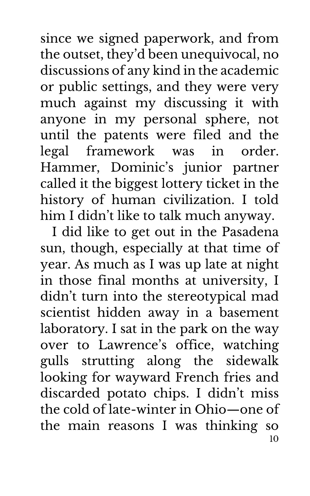since we signed paperwork, and from the outset, they'd been unequivocal, no discussions of any kind in the academic or public settings, and they were very much against my discussing it with anyone in my personal sphere, not until the patents were filed and the legal framework was in order. Hammer, Dominic's junior partner called it the biggest lottery ticket in the history of human civilization. I told him I didn't like to talk much anyway.

10 I did like to get out in the Pasadena sun, though, especially at that time of year. As much as I was up late at night in those final months at university, I didn't turn into the stereotypical mad scientist hidden away in a basement laboratory. I sat in the park on the way over to Lawrence's office, watching gulls strutting along the sidewalk looking for wayward French fries and discarded potato chips. I didn't miss the cold of late-winter in Ohio—one of the main reasons I was thinking so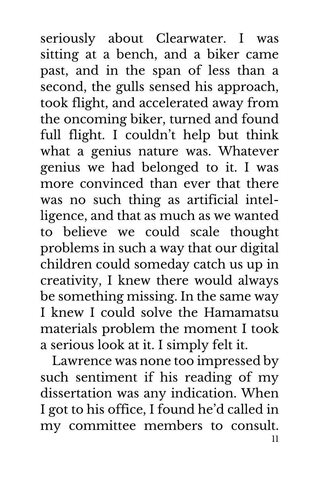seriously about Clearwater. I was sitting at a bench, and a biker came past, and in the span of less than a second, the gulls sensed his approach, took flight, and accelerated away from the oncoming biker, turned and found full flight. I couldn't help but think what a genius nature was. Whatever genius we had belonged to it. I was more convinced than ever that there was no such thing as artificial intelligence, and that as much as we wanted to believe we could scale thought problems in such a way that our digital children could someday catch us up in creativity, I knew there would always be something missing. In the same way I knew I could solve the Hamamatsu materials problem the moment I took a serious look at it. I simply felt it.

11 Lawrence was none too impressed by such sentiment if his reading of my dissertation was any indication. When I got to his office, I found he'd called in my committee members to consult.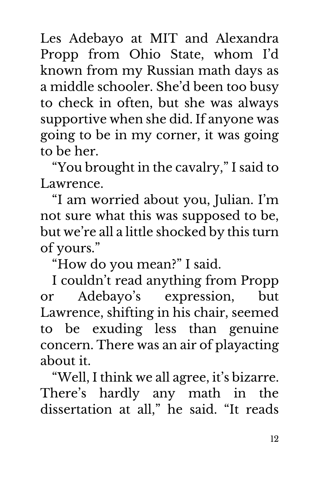Les Adebayo at MIT and Alexandra Propp from Ohio State, whom I'd known from my Russian math days as a middle schooler. She'd been too busy to check in often, but she was always supportive when she did. If anyone was going to be in my corner, it was going to be her.

"You brought in the cavalry," I said to Lawrence.

"I am worried about you, Julian. I'm not sure what this was supposed to be, but we're all a little shocked by this turn of yours."

"How do you mean?" I said.

I couldn't read anything from Propp or Adebayo's expression, but Lawrence, shifting in his chair, seemed to be exuding less than genuine concern. There was an air of playacting about it.

"Well, I think we all agree, it's bizarre. There's hardly any math in the dissertation at all," he said. "It reads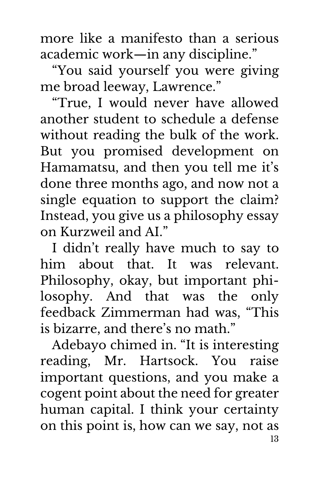more like a manifesto than a serious academic work—in any discipline."

"You said yourself you were giving me broad leeway, Lawrence."

"True, I would never have allowed another student to schedule a defense without reading the bulk of the work. But you promised development on Hamamatsu, and then you tell me it's done three months ago, and now not a single equation to support the claim? Instead, you give us a philosophy essay on Kurzweil and AI."

I didn't really have much to say to him about that. It was relevant. Philosophy, okay, but important philosophy. And that was the only feedback Zimmerman had was, "This is bizarre, and there's no math."

13 Adebayo chimed in. "It is interesting reading, Mr. Hartsock. You raise important questions, and you make a cogent point about the need for greater human capital. I think your certainty on this point is, how can we say, not as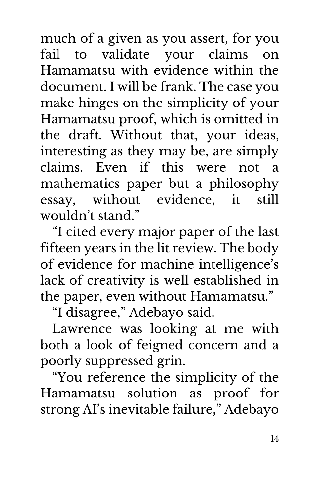much of a given as you assert, for you fail to validate your claims on Hamamatsu with evidence within the document. I will be frank. The case you make hinges on the simplicity of your Hamamatsu proof, which is omitted in the draft. Without that, your ideas, interesting as they may be, are simply claims. Even if this were not a mathematics paper but a philosophy essay, without evidence, it still wouldn't stand."

"I cited every major paper of the last fifteen years in the lit review. The body of evidence for machine intelligence's lack of creativity is well established in the paper, even without Hamamatsu."

"I disagree," Adebayo said.

Lawrence was looking at me with both a look of feigned concern and a poorly suppressed grin.

"You reference the simplicity of the Hamamatsu solution as proof for strong AI's inevitable failure," Adebayo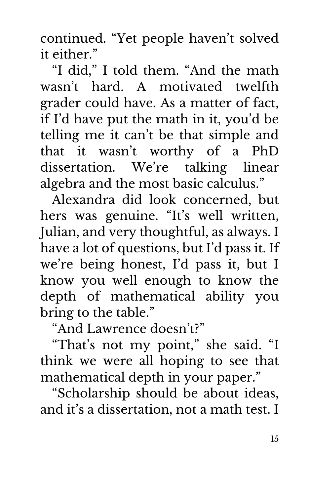continued. "Yet people haven't solved it either."

"I did," I told them. "And the math wasn't hard. A motivated twelfth grader could have. As a matter of fact, if I'd have put the math in it, you'd be telling me it can't be that simple and that it wasn't worthy of a PhD dissertation. We're talking linear algebra and the most basic calculus."

Alexandra did look concerned, but hers was genuine. "It's well written, Julian, and very thoughtful, as always. I have a lot of questions, but I'd pass it. If we're being honest, I'd pass it, but I know you well enough to know the depth of mathematical ability you bring to the table."

"And Lawrence doesn't?"

"That's not my point," she said. "I think we were all hoping to see that mathematical depth in your paper."

"Scholarship should be about ideas, and it's a dissertation, not a math test. I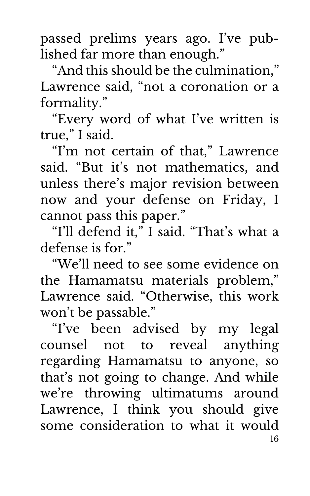passed prelims years ago. I've published far more than enough."

"And this should be the culmination," Lawrence said, "not a coronation or a formality."

"Every word of what I've written is true," I said.

"I'm not certain of that," Lawrence said. "But it's not mathematics, and unless there's major revision between now and your defense on Friday, I cannot pass this paper."

"I'll defend it," I said. "That's what a defense is for."

"We'll need to see some evidence on the Hamamatsu materials problem," Lawrence said. "Otherwise, this work won't be passable."

16 "I've been advised by my legal counsel not to reveal anything regarding Hamamatsu to anyone, so that's not going to change. And while we're throwing ultimatums around Lawrence, I think you should give some consideration to what it would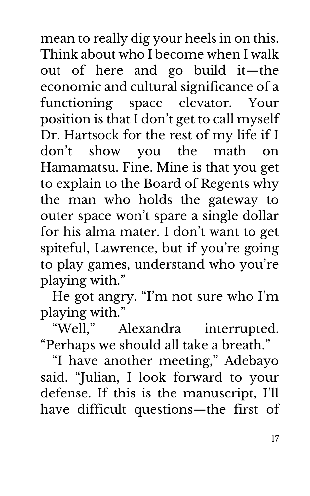mean to really dig your heels in on this. Think about who I become when I walk out of here and go build it—the economic and cultural significance of a functioning space elevator. Your position is that I don't get to call myself Dr. Hartsock for the rest of my life if I don't show you the math on Hamamatsu. Fine. Mine is that you get to explain to the Board of Regents why the man who holds the gateway to outer space won't spare a single dollar for his alma mater. I don't want to get spiteful, Lawrence, but if you're going to play games, understand who you're playing with."

He got angry. "I'm not sure who I'm playing with."

"Well," Alexandra interrupted. "Perhaps we should all take a breath."

"I have another meeting," Adebayo said. "Julian, I look forward to your defense. If this is the manuscript, I'll have difficult questions—the first of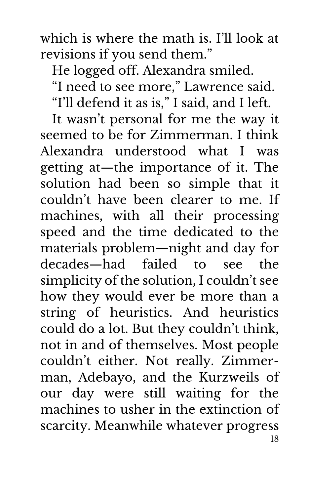which is where the math is. I'll look at revisions if you send them."

He logged off. Alexandra smiled.

"I need to see more," Lawrence said.

"I'll defend it as is," I said, and I left.

18 It wasn't personal for me the way it seemed to be for Zimmerman. I think Alexandra understood what I was getting at—the importance of it. The solution had been so simple that it couldn't have been clearer to me. If machines, with all their processing speed and the time dedicated to the materials problem—night and day for decades—had failed to see the simplicity of the solution, I couldn't see how they would ever be more than a string of heuristics. And heuristics could do a lot. But they couldn't think, not in and of themselves. Most people couldn't either. Not really. Zimmerman, Adebayo, and the Kurzweils of our day were still waiting for the machines to usher in the extinction of scarcity. Meanwhile whatever progress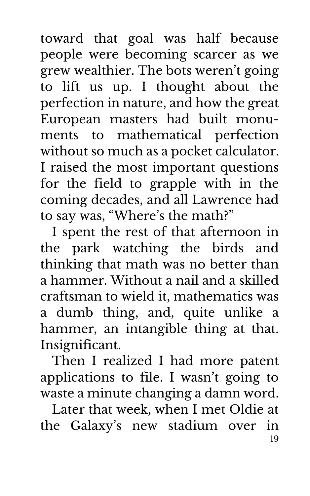toward that goal was half because people were becoming scarcer as we grew wealthier. The bots weren't going to lift us up. I thought about the perfection in nature, and how the great European masters had built monuments to mathematical perfection without so much as a pocket calculator. I raised the most important questions for the field to grapple with in the coming decades, and all Lawrence had to say was, "Where's the math?"

I spent the rest of that afternoon in the park watching the birds and thinking that math was no better than a hammer. Without a nail and a skilled craftsman to wield it, mathematics was a dumb thing, and, quite unlike a hammer, an intangible thing at that. Insignificant.

Then I realized I had more patent applications to file. I wasn't going to waste a minute changing a damn word.

19 Later that week, when I met Oldie at the Galaxy's new stadium over in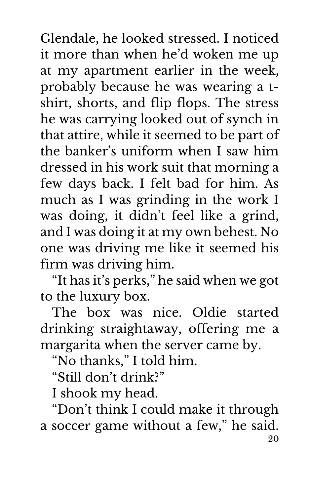Glendale, he looked stressed. I noticed it more than when he'd woken me up at my apartment earlier in the week, probably because he was wearing a tshirt, shorts, and flip flops. The stress he was carrying looked out of synch in that attire, while it seemed to be part of the banker's uniform when I saw him dressed in his work suit that morning a few days back. I felt bad for him. As much as I was grinding in the work I was doing, it didn't feel like a grind, and I was doing it at my own behest. No one was driving me like it seemed his firm was driving him.

"It has it's perks," he said when we got to the luxury box.

The box was nice. Oldie started drinking straightaway, offering me a margarita when the server came by.

"No thanks," I told him.

"Still don't drink?"

I shook my head.

20 "Don't think I could make it through a soccer game without a few," he said.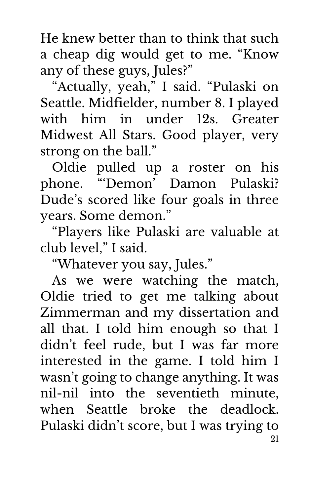He knew better than to think that such a cheap dig would get to me. "Know any of these guys, Jules?"

"Actually, yeah," I said. "Pulaski on Seattle. Midfielder, number 8. I played with him in under 12s. Greater Midwest All Stars. Good player, very strong on the ball."

Oldie pulled up a roster on his phone. "'Demon' Damon Pulaski? Dude's scored like four goals in three years. Some demon."

"Players like Pulaski are valuable at club level," I said.

"Whatever you say, Jules."

21 As we were watching the match, Oldie tried to get me talking about Zimmerman and my dissertation and all that. I told him enough so that I didn't feel rude, but I was far more interested in the game. I told him I wasn't going to change anything. It was nil-nil into the seventieth minute, when Seattle broke the deadlock. Pulaski didn't score, but I was trying to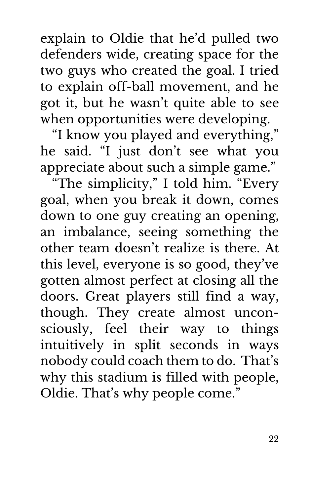explain to Oldie that he'd pulled two defenders wide, creating space for the two guys who created the goal. I tried to explain off-ball movement, and he got it, but he wasn't quite able to see when opportunities were developing.

"I know you played and everything," he said. "I just don't see what you appreciate about such a simple game."

"The simplicity," I told him. "Every goal, when you break it down, comes down to one guy creating an opening, an imbalance, seeing something the other team doesn't realize is there. At this level, everyone is so good, they've gotten almost perfect at closing all the doors. Great players still find a way, though. They create almost unconsciously, feel their way to things intuitively in split seconds in ways nobody could coach them to do. That's why this stadium is filled with people, Oldie. That's why people come."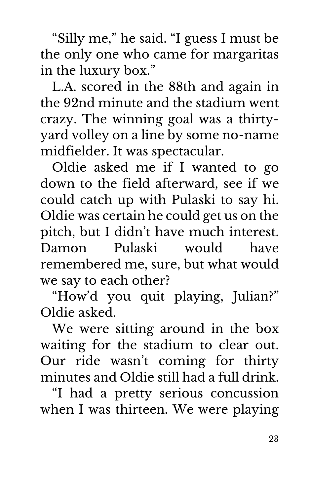"Silly me," he said. "I guess I must be the only one who came for margaritas in the luxury box."

L.A. scored in the 88th and again in the 92nd minute and the stadium went crazy. The winning goal was a thirtyyard volley on a line by some no-name midfielder. It was spectacular.

Oldie asked me if I wanted to go down to the field afterward, see if we could catch up with Pulaski to say hi. Oldie was certain he could get us on the pitch, but I didn't have much interest. Damon Pulaski would have remembered me, sure, but what would we say to each other?

"How'd you quit playing, Julian?" Oldie asked.

We were sitting around in the box waiting for the stadium to clear out. Our ride wasn't coming for thirty minutes and Oldie still had a full drink.

"I had a pretty serious concussion when I was thirteen. We were playing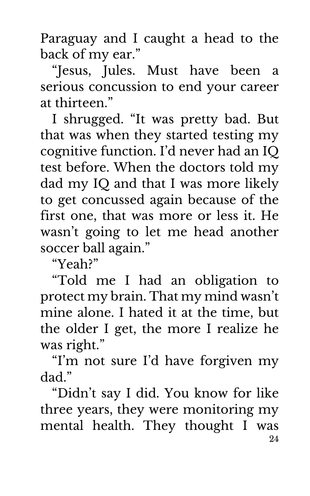Paraguay and I caught a head to the back of my ear."

"Jesus, Jules. Must have been a serious concussion to end your career at thirteen."

I shrugged. "It was pretty bad. But that was when they started testing my cognitive function. I'd never had an IQ test before. When the doctors told my dad my IQ and that I was more likely to get concussed again because of the first one, that was more or less it. He wasn't going to let me head another soccer ball again."

"Yeah?"

"Told me I had an obligation to protect my brain. That my mind wasn't mine alone. I hated it at the time, but the older I get, the more I realize he was right."

"I'm not sure I'd have forgiven my dad."

24 "Didn't say I did. You know for like three years, they were monitoring my mental health. They thought I was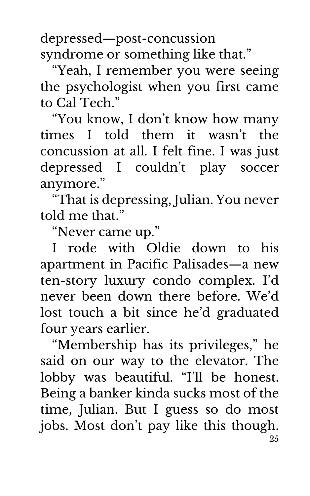depressed—post-concussion syndrome or something like that."

"Yeah, I remember you were seeing the psychologist when you first came to Cal Tech."

"You know, I don't know how many times I told them it wasn't the concussion at all. I felt fine. I was just depressed I couldn't play soccer anymore."

"That is depressing, Julian. You never told me that"

"Never came up."

I rode with Oldie down to his apartment in Pacific Palisades—a new ten-story luxury condo complex. I'd never been down there before. We'd lost touch a bit since he'd graduated four years earlier.

25 "Membership has its privileges," he said on our way to the elevator. The lobby was beautiful. "I'll be honest. Being a banker kinda sucks most of the time, Julian. But I guess so do most jobs. Most don't pay like this though.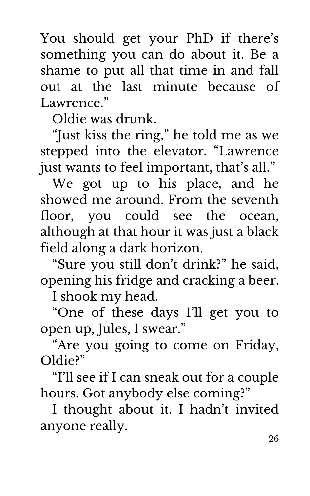You should get your PhD if there's something you can do about it. Be a shame to put all that time in and fall out at the last minute because of Lawrence."

Oldie was drunk.

"Just kiss the ring," he told me as we stepped into the elevator. "Lawrence just wants to feel important, that's all."

We got up to his place, and he showed me around. From the seventh floor, you could see the ocean, although at that hour it was just a black field along a dark horizon.

"Sure you still don't drink?" he said, opening his fridge and cracking a beer.

I shook my head.

"One of these days I'll get you to open up, Jules, I swear."

"Are you going to come on Friday, Oldie?"

"I'll see if I can sneak out for a couple hours. Got anybody else coming?"

I thought about it. I hadn't invited anyone really.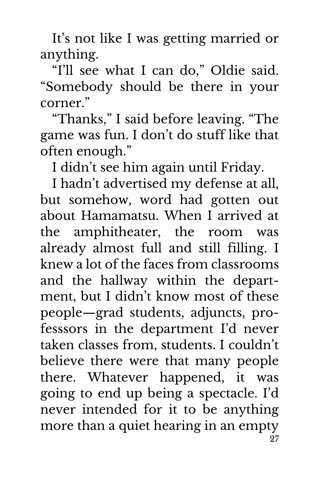It's not like I was getting married or anything.

"I'll see what I can do," Oldie said. "Somebody should be there in your corner."

"Thanks," I said before leaving. "The game was fun. I don't do stuff like that often enough."

I didn't see him again until Friday.

27 I hadn't advertised my defense at all, but somehow, word had gotten out about Hamamatsu. When I arrived at the amphitheater, the room was already almost full and still filling. I knew a lot of the faces from classrooms and the hallway within the department, but I didn't know most of these people—grad students, adjuncts, professsors in the department I'd never taken classes from, students. I couldn't believe there were that many people there. Whatever happened, it was going to end up being a spectacle. I'd never intended for it to be anything more than a quiet hearing in an empty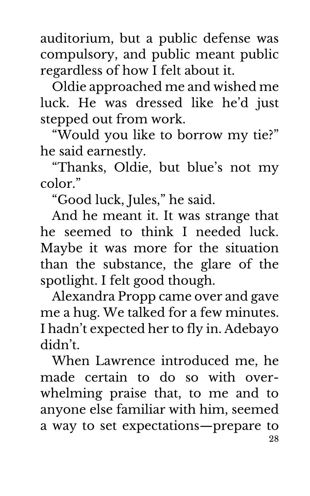auditorium, but a public defense was compulsory, and public meant public regardless of how I felt about it.

Oldie approached me and wished me luck. He was dressed like he'd just stepped out from work.

"Would you like to borrow my tie?" he said earnestly.

"Thanks, Oldie, but blue's not my color."

"Good luck, Jules," he said.

And he meant it. It was strange that he seemed to think I needed luck. Maybe it was more for the situation than the substance, the glare of the spotlight. I felt good though.

Alexandra Propp came over and gave me a hug. We talked for a few minutes. I hadn't expected her to fly in. Adebayo didn't.

28 When Lawrence introduced me, he made certain to do so with overwhelming praise that, to me and to anyone else familiar with him, seemed a way to set expectations—prepare to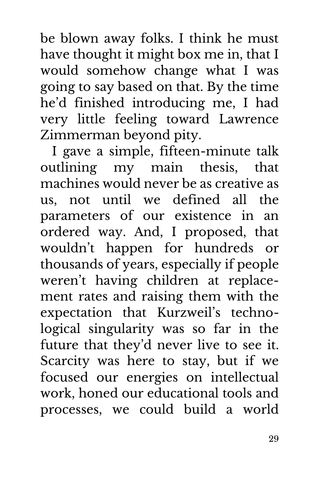be blown away folks. I think he must have thought it might box me in, that I would somehow change what I was going to say based on that. By the time he'd finished introducing me, I had very little feeling toward Lawrence Zimmerman beyond pity.

I gave a simple, fifteen-minute talk outlining my main thesis, that machines would never be as creative as us, not until we defined all the parameters of our existence in an ordered way. And, I proposed, that wouldn't happen for hundreds or thousands of years, especially if people weren't having children at replacement rates and raising them with the expectation that Kurzweil's technological singularity was so far in the future that they'd never live to see it. Scarcity was here to stay, but if we focused our energies on intellectual work, honed our educational tools and processes, we could build a world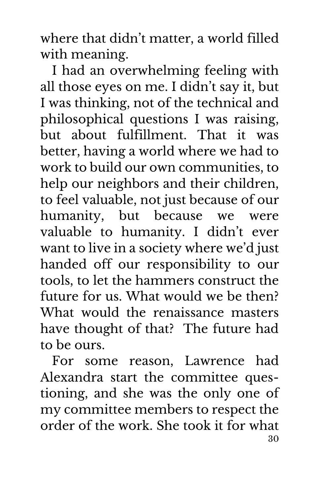where that didn't matter, a world filled with meaning.

I had an overwhelming feeling with all those eyes on me. I didn't say it, but I was thinking, not of the technical and philosophical questions I was raising, but about fulfillment. That it was better, having a world where we had to work to build our own communities, to help our neighbors and their children, to feel valuable, not just because of our humanity, but because we were valuable to humanity. I didn't ever want to live in a society where we'd just handed off our responsibility to our tools, to let the hammers construct the future for us. What would we be then? What would the renaissance masters have thought of that? The future had to be ours.

30 For some reason, Lawrence had Alexandra start the committee questioning, and she was the only one of my committee members to respect the order of the work. She took it for what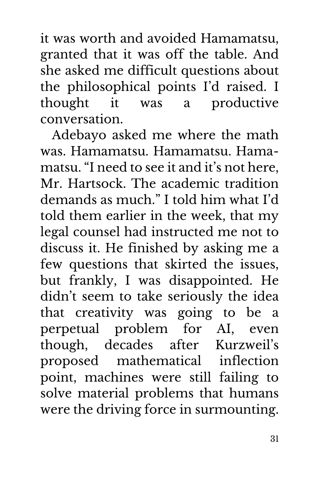it was worth and avoided Hamamatsu, granted that it was off the table. And she asked me difficult questions about the philosophical points I'd raised. I thought it was a productive conversation.

Adebayo asked me where the math was. Hamamatsu. Hamamatsu. Hamamatsu. "I need to see it and it's not here, Mr. Hartsock. The academic tradition demands as much." I told him what I'd told them earlier in the week, that my legal counsel had instructed me not to discuss it. He finished by asking me a few questions that skirted the issues, but frankly, I was disappointed. He didn't seem to take seriously the idea that creativity was going to be a perpetual problem for AI, even though, decades after Kurzweil's proposed mathematical inflection point, machines were still failing to solve material problems that humans were the driving force in surmounting.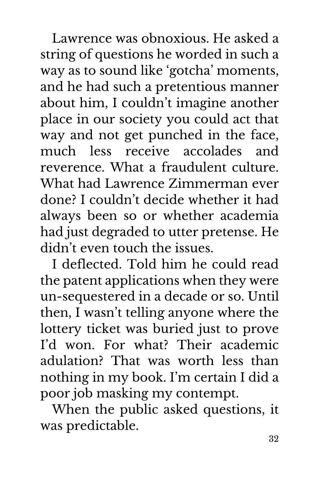Lawrence was obnoxious. He asked a string of questions he worded in such a way as to sound like 'gotcha' moments, and he had such a pretentious manner about him, I couldn't imagine another place in our society you could act that way and not get punched in the face, much less receive accolades and reverence. What a fraudulent culture. What had Lawrence Zimmerman ever done? I couldn't decide whether it had always been so or whether academia had just degraded to utter pretense. He didn't even touch the issues.

I deflected. Told him he could read the patent applications when they were un-sequestered in a decade or so. Until then, I wasn't telling anyone where the lottery ticket was buried just to prove I'd won. For what? Their academic adulation? That was worth less than nothing in my book. I'm certain I did a poor job masking my contempt.

When the public asked questions, it was predictable.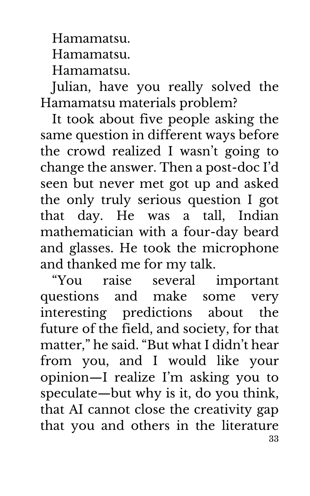Hamamatsu.

Hamamatsu.

Hamamatsu.

Julian, have you really solved the Hamamatsu materials problem?

It took about five people asking the same question in different ways before the crowd realized I wasn't going to change the answer. Then a post-doc I'd seen but never met got up and asked the only truly serious question I got that day. He was a tall, Indian mathematician with a four-day beard and glasses. He took the microphone and thanked me for my talk.

33 "You raise several important questions and make some very interesting predictions about the future of the field, and society, for that matter," he said. "But what I didn't hear from you, and I would like your opinion—I realize I'm asking you to speculate—but why is it, do you think, that AI cannot close the creativity gap that you and others in the literature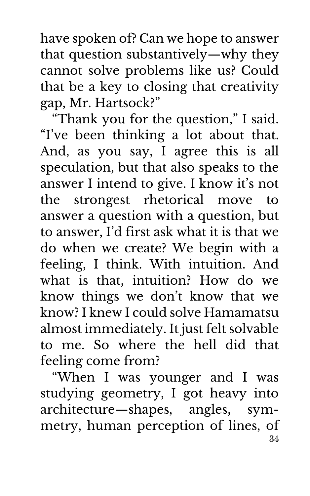have spoken of? Can we hope to answer that question substantively—why they cannot solve problems like us? Could that be a key to closing that creativity gap, Mr. Hartsock?"

"Thank you for the question," I said. "I've been thinking a lot about that. And, as you say, I agree this is all speculation, but that also speaks to the answer I intend to give. I know it's not the strongest rhetorical move to answer a question with a question, but to answer, I'd first ask what it is that we do when we create? We begin with a feeling, I think. With intuition. And what is that, intuition? How do we know things we don't know that we know? I knew I could solve Hamamatsu almost immediately. It just felt solvable to me. So where the hell did that feeling come from?

34 "When I was younger and I was studying geometry, I got heavy into architecture—shapes, angles, symmetry, human perception of lines, of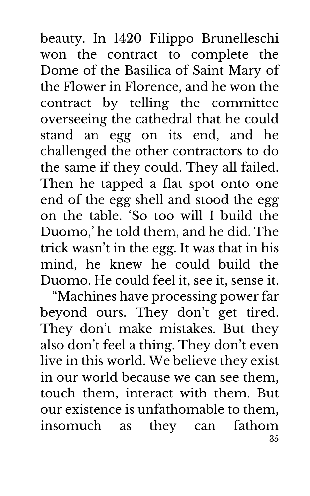beauty. In 1420 Filippo Brunelleschi won the contract to complete the Dome of the Basilica of Saint Mary of the Flower in Florence, and he won the contract by telling the committee overseeing the cathedral that he could stand an egg on its end, and he challenged the other contractors to do the same if they could. They all failed. Then he tapped a flat spot onto one end of the egg shell and stood the egg on the table. 'So too will I build the Duomo,' he told them, and he did. The trick wasn't in the egg. It was that in his mind, he knew he could build the Duomo. He could feel it, see it, sense it.

35 "Machines have processing power far beyond ours. They don't get tired. They don't make mistakes. But they also don't feel a thing. They don't even live in this world. We believe they exist in our world because we can see them, touch them, interact with them. But our existence is unfathomable to them, insomuch as they can fathom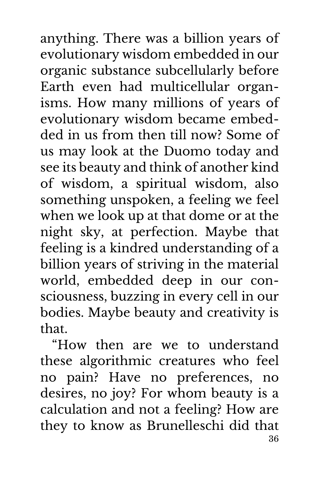anything. There was a billion years of evolutionary wisdom embedded in our organic substance subcellularly before Earth even had multicellular organisms. How many millions of years of evolutionary wisdom became embedded in us from then till now? Some of us may look at the Duomo today and see its beauty and think of another kind of wisdom, a spiritual wisdom, also something unspoken, a feeling we feel when we look up at that dome or at the night sky, at perfection. Maybe that feeling is a kindred understanding of a billion years of striving in the material world, embedded deep in our consciousness, buzzing in every cell in our bodies. Maybe beauty and creativity is that.

36 "How then are we to understand these algorithmic creatures who feel no pain? Have no preferences, no desires, no joy? For whom beauty is a calculation and not a feeling? How are they to know as Brunelleschi did that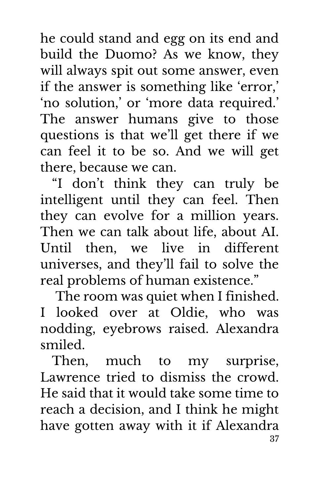he could stand and egg on its end and build the Duomo? As we know, they will always spit out some answer, even if the answer is something like 'error,' 'no solution,' or 'more data required.' The answer humans give to those questions is that we'll get there if we can feel it to be so. And we will get there, because we can.

"I don't think they can truly be intelligent until they can feel. Then they can evolve for a million years. Then we can talk about life, about AI. Until then, we live in different universes, and they'll fail to solve the real problems of human existence."

The room was quiet when I finished. I looked over at Oldie, who was nodding, eyebrows raised. Alexandra smiled.

37 Then, much to my surprise, Lawrence tried to dismiss the crowd. He said that it would take some time to reach a decision, and I think he might have gotten away with it if Alexandra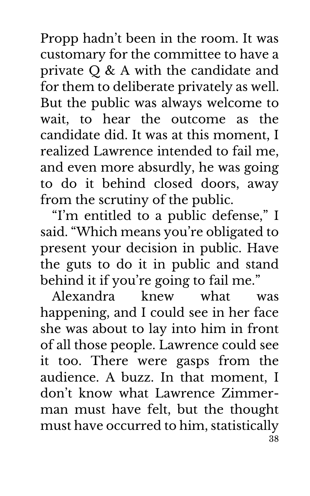Propp hadn't been in the room. It was customary for the committee to have a private Q & A with the candidate and for them to deliberate privately as well. But the public was always welcome to wait, to hear the outcome as the candidate did. It was at this moment, I realized Lawrence intended to fail me, and even more absurdly, he was going to do it behind closed doors, away from the scrutiny of the public.

"I'm entitled to a public defense," I said. "Which means you're obligated to present your decision in public. Have the guts to do it in public and stand behind it if you're going to fail me."

38 Alexandra knew what was happening, and I could see in her face she was about to lay into him in front of all those people. Lawrence could see it too. There were gasps from the audience. A buzz. In that moment, I don't know what Lawrence Zimmerman must have felt, but the thought must have occurred to him, statistically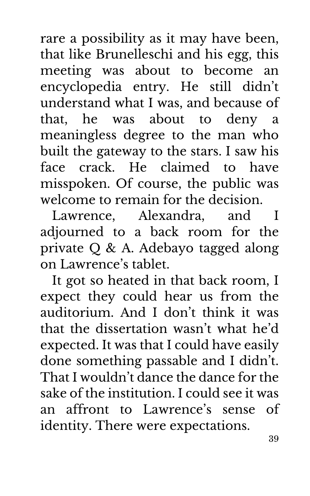rare a possibility as it may have been, that like Brunelleschi and his egg, this meeting was about to become an encyclopedia entry. He still didn't understand what I was, and because of that, he was about to deny a meaningless degree to the man who built the gateway to the stars. I saw his face crack. He claimed to have misspoken. Of course, the public was welcome to remain for the decision.

Lawrence, Alexandra, and I adjourned to a back room for the private Q & A. Adebayo tagged along on Lawrence's tablet.

It got so heated in that back room, I expect they could hear us from the auditorium. And I don't think it was that the dissertation wasn't what he'd expected. It was that I could have easily done something passable and I didn't. That I wouldn't dance the dance for the sake of the institution. I could see it was an affront to Lawrence's sense of identity. There were expectations.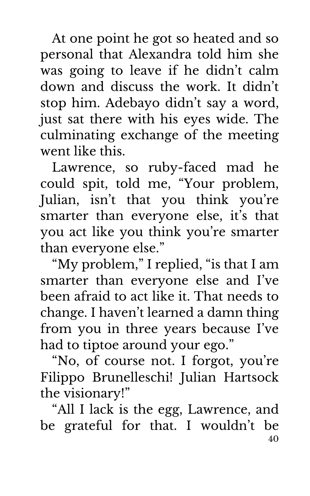At one point he got so heated and so personal that Alexandra told him she was going to leave if he didn't calm down and discuss the work. It didn't stop him. Adebayo didn't say a word, just sat there with his eyes wide. The culminating exchange of the meeting went like this.

Lawrence, so ruby-faced mad he could spit, told me, "Your problem, Julian, isn't that you think you're smarter than everyone else, it's that you act like you think you're smarter than everyone else."

"My problem," I replied, "is that I am smarter than everyone else and I've been afraid to act like it. That needs to change. I haven't learned a damn thing from you in three years because I've had to tiptoe around your ego."

"No, of course not. I forgot, you're Filippo Brunelleschi! Julian Hartsock the visionary!"

40 "All I lack is the egg, Lawrence, and be grateful for that. I wouldn't be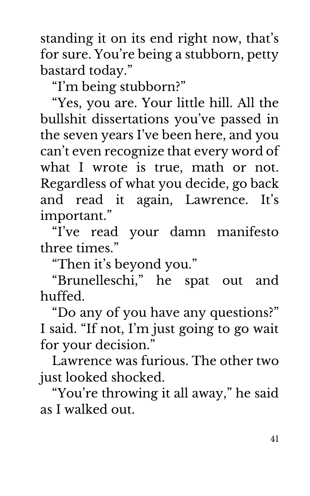standing it on its end right now, that's for sure. You're being a stubborn, petty bastard today."

"I'm being stubborn?"

"Yes, you are. Your little hill. All the bullshit dissertations you've passed in the seven years I've been here, and you can't even recognize that every word of what I wrote is true, math or not. Regardless of what you decide, go back and read it again, Lawrence. It's important."

"I've read your damn manifesto three times."

"Then it's beyond you."

"Brunelleschi," he spat out and huffed.

"Do any of you have any questions?" I said. "If not, I'm just going to go wait for your decision."

Lawrence was furious. The other two just looked shocked.

"You're throwing it all away," he said as I walked out.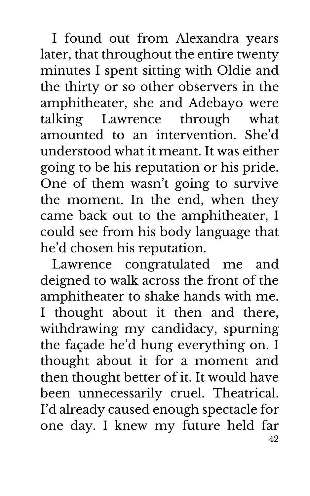I found out from Alexandra years later, that throughout the entire twenty minutes I spent sitting with Oldie and the thirty or so other observers in the amphitheater, she and Adebayo were talking Lawrence through what amounted to an intervention. She'd understood what it meant. It was either going to be his reputation or his pride. One of them wasn't going to survive the moment. In the end, when they came back out to the amphitheater, I could see from his body language that he'd chosen his reputation.

42 Lawrence congratulated me and deigned to walk across the front of the amphitheater to shake hands with me. I thought about it then and there, withdrawing my candidacy, spurning the façade he'd hung everything on. I thought about it for a moment and then thought better of it. It would have been unnecessarily cruel. Theatrical. I'd already caused enough spectacle for one day. I knew my future held far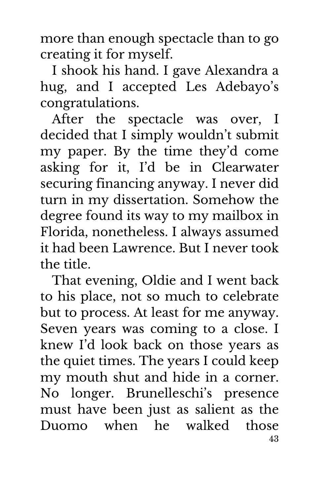more than enough spectacle than to go creating it for myself.

I shook his hand. I gave Alexandra a hug, and I accepted Les Adebayo's congratulations.

After the spectacle was over, I decided that I simply wouldn't submit my paper. By the time they'd come asking for it, I'd be in Clearwater securing financing anyway. I never did turn in my dissertation. Somehow the degree found its way to my mailbox in Florida, nonetheless. I always assumed it had been Lawrence. But I never took the title.

43 That evening, Oldie and I went back to his place, not so much to celebrate but to process. At least for me anyway. Seven years was coming to a close. I knew I'd look back on those years as the quiet times. The years I could keep my mouth shut and hide in a corner. No longer. Brunelleschi's presence must have been just as salient as the Duomo when he walked those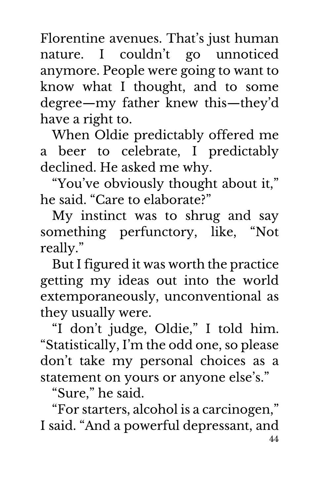Florentine avenues. That's just human nature. I couldn't go unnoticed anymore. People were going to want to know what I thought, and to some degree—my father knew this—they'd have a right to.

When Oldie predictably offered me a beer to celebrate, I predictably declined. He asked me why.

"You've obviously thought about it," he said. "Care to elaborate?"

My instinct was to shrug and say something perfunctory, like, "Not really."

But I figured it was worth the practice getting my ideas out into the world extemporaneously, unconventional as they usually were.

"I don't judge, Oldie," I told him. "Statistically, I'm the odd one, so please don't take my personal choices as a statement on yours or anyone else's."

"Sure," he said.

44 "For starters, alcohol is a carcinogen," I said. "And a powerful depressant, and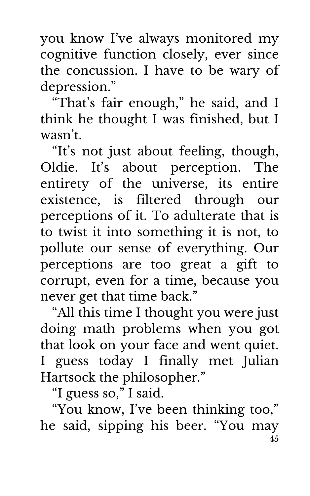you know I've always monitored my cognitive function closely, ever since the concussion. I have to be wary of depression."

"That's fair enough," he said, and I think he thought I was finished, but I wasn't.

"It's not just about feeling, though, Oldie. It's about perception. The entirety of the universe, its entire existence, is filtered through our perceptions of it. To adulterate that is to twist it into something it is not, to pollute our sense of everything. Our perceptions are too great a gift to corrupt, even for a time, because you never get that time back."

"All this time I thought you were just doing math problems when you got that look on your face and went quiet. I guess today I finally met Julian Hartsock the philosopher."

"I guess so," I said.

45 "You know, I've been thinking too," he said, sipping his beer. "You may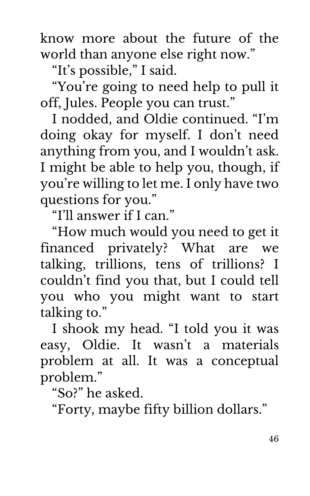know more about the future of the world than anyone else right now."

"It's possible," I said.

"You're going to need help to pull it off, Jules. People you can trust."

I nodded, and Oldie continued. "I'm doing okay for myself. I don't need anything from you, and I wouldn't ask. I might be able to help you, though, if you're willing to let me. I only have two questions for you."

"I'll answer if I can."

"How much would you need to get it financed privately? What are we talking, trillions, tens of trillions? I couldn't find you that, but I could tell you who you might want to start talking to."

I shook my head. "I told you it was easy, Oldie. It wasn't a materials problem at all. It was a conceptual problem."

"So?" he asked.

"Forty, maybe fifty billion dollars."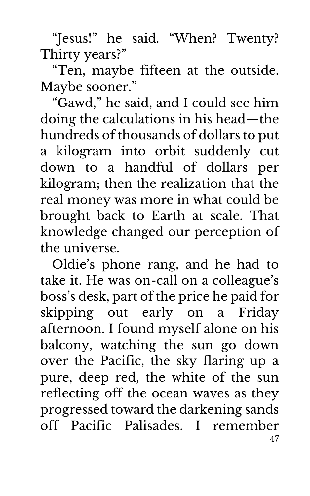"Jesus!" he said. "When? Twenty? Thirty years?"

"Ten, maybe fifteen at the outside. Maybe sooner."

"Gawd," he said, and I could see him doing the calculations in his head—the hundreds of thousands of dollars to put a kilogram into orbit suddenly cut down to a handful of dollars per kilogram; then the realization that the real money was more in what could be brought back to Earth at scale. That knowledge changed our perception of the universe.

47 Oldie's phone rang, and he had to take it. He was on-call on a colleague's boss's desk, part of the price he paid for skipping out early on a Friday afternoon. I found myself alone on his balcony, watching the sun go down over the Pacific, the sky flaring up a pure, deep red, the white of the sun reflecting off the ocean waves as they progressed toward the darkening sands off Pacific Palisades. I remember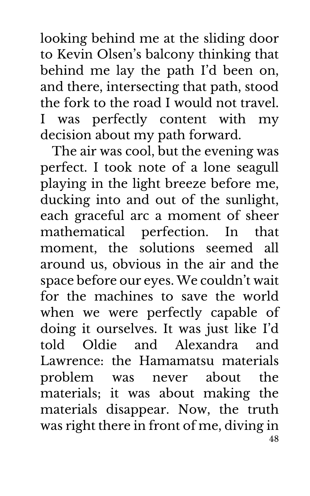looking behind me at the sliding door to Kevin Olsen's balcony thinking that behind me lay the path I'd been on, and there, intersecting that path, stood the fork to the road I would not travel. I was perfectly content with my decision about my path forward.

48 The air was cool, but the evening was perfect. I took note of a lone seagull playing in the light breeze before me, ducking into and out of the sunlight, each graceful arc a moment of sheer mathematical perfection. In that moment, the solutions seemed all around us, obvious in the air and the space before our eyes. We couldn't wait for the machines to save the world when we were perfectly capable of doing it ourselves. It was just like I'd told Oldie and Alexandra and Lawrence: the Hamamatsu materials problem was never about the materials; it was about making the materials disappear. Now, the truth was right there in front of me, diving in